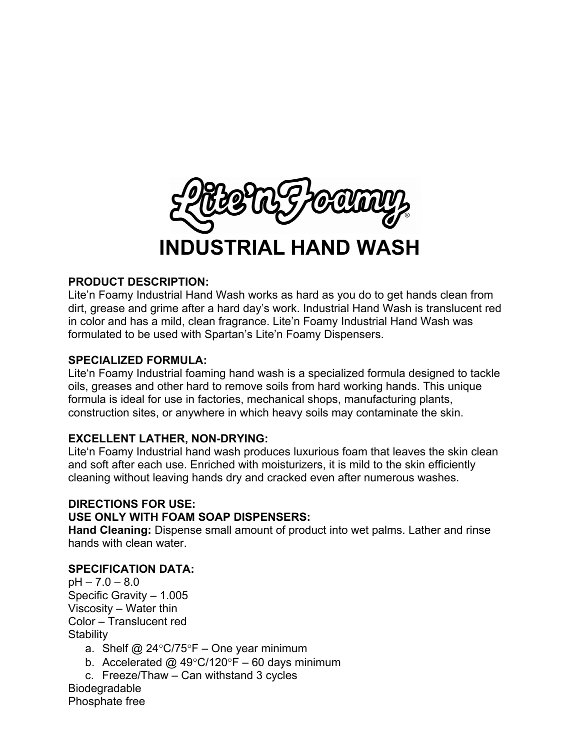

# **INDUSTRIAL HAND WASH**

## **PRODUCT DESCRIPTION:**

Lite'n Foamy Industrial Hand Wash works as hard as you do to get hands clean from dirt, grease and grime after a hard day's work. Industrial Hand Wash is translucent red in color and has a mild, clean fragrance. Lite'n Foamy Industrial Hand Wash was formulated to be used with Spartan's Lite'n Foamy Dispensers.

### **SPECIALIZED FORMULA:**

Lite'n Foamy Industrial foaming hand wash is a specialized formula designed to tackle oils, greases and other hard to remove soils from hard working hands. This unique formula is ideal for use in factories, mechanical shops, manufacturing plants, construction sites, or anywhere in which heavy soils may contaminate the skin.

## **EXCELLENT LATHER, NON-DRYING:**

Lite'n Foamy Industrial hand wash produces luxurious foam that leaves the skin clean and soft after each use. Enriched with moisturizers, it is mild to the skin efficiently cleaning without leaving hands dry and cracked even after numerous washes.

## **DIRECTIONS FOR USE: USE ONLY WITH FOAM SOAP DISPENSERS:**

**Hand Cleaning:** Dispense small amount of product into wet palms. Lather and rinse hands with clean water.

## **SPECIFICATION DATA:**

 $pH - 7.0 - 8.0$ Specific Gravity – 1.005 Viscosity – Water thin Color – Translucent red **Stability** 

- a. Shelf @ 24°C/75°F One year minimum
- b. Accelerated  $\omega$  49°C/120°F 60 days minimum
- c. Freeze/Thaw Can withstand 3 cycles

**Biodegradable** Phosphate free